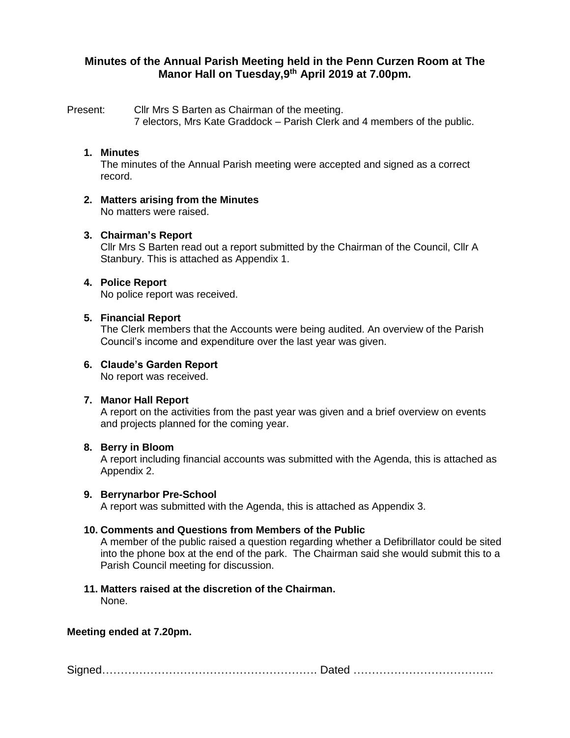# **Minutes of the Annual Parish Meeting held in the Penn Curzen Room at The Manor Hall on Tuesday,9th April 2019 at 7.00pm.**

Present: Cllr Mrs S Barten as Chairman of the meeting.

7 electors, Mrs Kate Graddock – Parish Clerk and 4 members of the public.

# **1. Minutes**

The minutes of the Annual Parish meeting were accepted and signed as a correct record.

**2. Matters arising from the Minutes** No matters were raised.

## **3. Chairman's Report**

Cllr Mrs S Barten read out a report submitted by the Chairman of the Council, Cllr A Stanbury. This is attached as Appendix 1.

#### **4. Police Report**

No police report was received.

#### **5. Financial Report**

The Clerk members that the Accounts were being audited. An overview of the Parish Council's income and expenditure over the last year was given.

#### **6. Claude's Garden Report**

No report was received.

#### **7. Manor Hall Report**

A report on the activities from the past year was given and a brief overview on events and projects planned for the coming year.

#### **8. Berry in Bloom**

A report including financial accounts was submitted with the Agenda, this is attached as Appendix 2.

#### **9. Berrynarbor Pre-School**

A report was submitted with the Agenda, this is attached as Appendix 3.

## **10. Comments and Questions from Members of the Public**

A member of the public raised a question regarding whether a Defibrillator could be sited into the phone box at the end of the park. The Chairman said she would submit this to a Parish Council meeting for discussion.

# **11. Matters raised at the discretion of the Chairman.**

None.

## **Meeting ended at 7.20pm.**

Signed…………………………………………………. Dated ………………………………..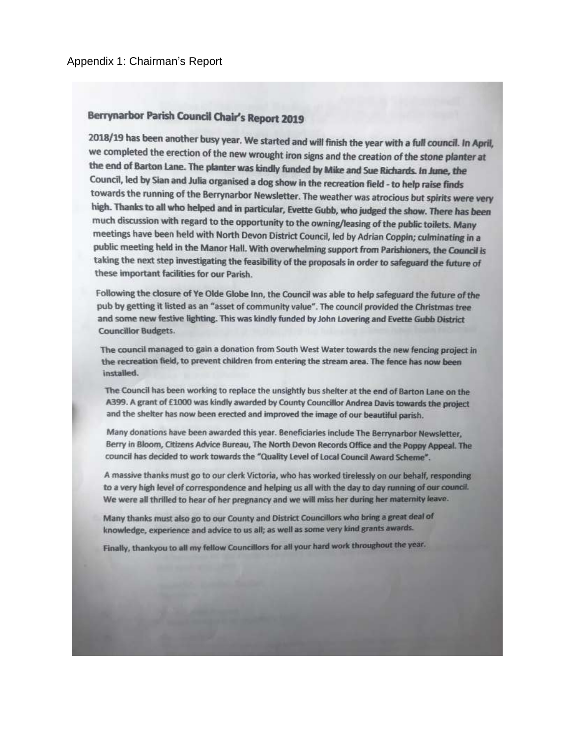# Berrynarbor Parish Council Chair's Report 2019

2018/19 has been another busy year. We started and will finish the year with a full council. In April, we completed the erection of the new wrought iron signs and the creation of the stone planter at the end of Barton Lane. The planter was kindly funded by Mike and Sue Richards. In June, the Council, led by Sian and Julia organised a dog show in the recreation field - to help raise finds towards the running of the Berrynarbor Newsletter. The weather was atrocious but spirits were very high. Thanks to all who helped and in particular, Evette Gubb, who judged the show. There has been much discussion with regard to the opportunity to the owning/leasing of the public toilets. Many meetings have been held with North Devon District Council, led by Adrian Coppin; culminating in a public meeting held in the Manor Hall. With overwhelming support from Parishioners, the Council is taking the next step investigating the feasibility of the proposals in order to safeguard the future of these important facilities for our Parish.

Following the closure of Ye Olde Globe Inn, the Council was able to help safeguard the future of the pub by getting it listed as an "asset of community value". The council provided the Christmas tree and some new festive lighting. This was kindly funded by John Lovering and Evette Gubb District **Councillor Budgets.** 

The council managed to gain a donation from South West Water towards the new fencing project in the recreation field, to prevent children from entering the stream area. The fence has now been installed.

The Council has been working to replace the unsightly bus shelter at the end of Barton Lane on the A399. A grant of £1000 was kindly awarded by County Councillor Andrea Davis towards the project and the shelter has now been erected and improved the image of our beautiful parish.

Many donations have been awarded this year. Beneficiaries include The Berrynarbor Newsletter, Berry in Bloom, Citizens Advice Bureau, The North Devon Records Office and the Poppy Appeal. The council has decided to work towards the "Quality Level of Local Council Award Scheme".

A massive thanks must go to our clerk Victoria, who has worked tirelessly on our behalf, responding to a very high level of correspondence and helping us all with the day to day running of our council. We were all thrilled to hear of her pregnancy and we will miss her during her maternity leave.

Many thanks must also go to our County and District Councillors who bring a great deal of knowledge, experience and advice to us all; as well as some very kind grants awards.

Finally, thankyou to all my fellow Councillors for all your hard work throughout the year.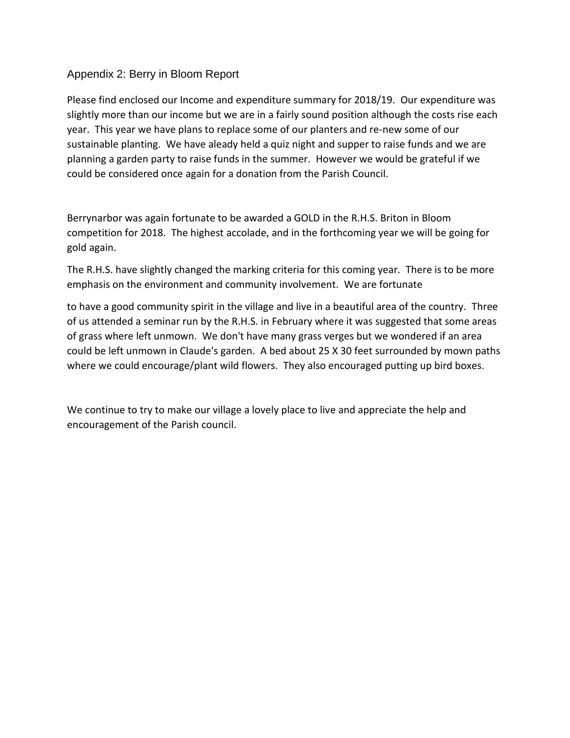# Appendix 2: Berry in Bloom Report

Please find enclosed our Income and expenditure summary for 2018/19. Our expenditure was slightly more than our income but we are in a fairly sound position although the costs rise each year. This year we have plans to replace some of our planters and re-new some of our sustainable planting. We have aleady held a quiz night and supper to raise funds and we are planning a garden party to raise funds in the summer. However we would be grateful if we could be considered once again for a donation from the Parish Council.

Berrynarbor was again fortunate to be awarded a GOLD in the R.H.S. Briton in Bloom competition for 2018. The highest accolade, and in the forthcoming year we will be going for gold again.

The R.H.S. have slightly changed the marking criteria for this coming year. There is to be more emphasis on the environment and community involvement. We are fortunate

to have a good community spirit in the village and live in a beautiful area of the country. Three of us attended a seminar run by the R.H.S. in February where it was suggested that some areas of grass where left unmown. We don't have many grass verges but we wondered if an area could be left unmown in Claude's garden. A bed about 25 X 30 feet surrounded by mown paths where we could encourage/plant wild flowers. They also encouraged putting up bird boxes.

We continue to try to make our village a lovely place to live and appreciate the help and encouragement of the Parish council.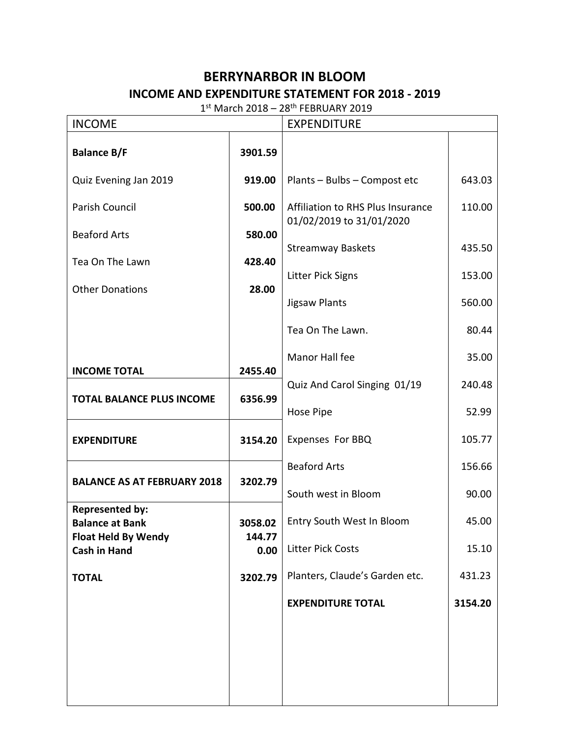# **BERRYNARBOR IN BLOOM INCOME AND EXPENDITURE STATEMENT FOR 2018 - 2019**

 $1<sup>st</sup>$  March 2018 – 28<sup>th</sup> FEBRUARY 2019

| <b>INCOME</b>                                     |                | <b>EXPENDITURE</b>                                            |         |  |
|---------------------------------------------------|----------------|---------------------------------------------------------------|---------|--|
| <b>Balance B/F</b>                                | 3901.59        |                                                               |         |  |
| Quiz Evening Jan 2019                             | 919.00         | Plants - Bulbs - Compost etc                                  | 643.03  |  |
| Parish Council<br>500.00                          |                | Affiliation to RHS Plus Insurance<br>01/02/2019 to 31/01/2020 | 110.00  |  |
| <b>Beaford Arts</b>                               | 580.00         |                                                               |         |  |
| Tea On The Lawn                                   | 428.40         | <b>Streamway Baskets</b>                                      | 435.50  |  |
| <b>Other Donations</b>                            | 28.00          | <b>Litter Pick Signs</b>                                      | 153.00  |  |
|                                                   |                | <b>Jigsaw Plants</b>                                          | 560.00  |  |
|                                                   |                | Tea On The Lawn.                                              | 80.44   |  |
| <b>INCOME TOTAL</b>                               | 2455.40        | Manor Hall fee                                                | 35.00   |  |
|                                                   | 6356.99        | Quiz And Carol Singing 01/19                                  | 240.48  |  |
| <b>TOTAL BALANCE PLUS INCOME</b>                  |                | Hose Pipe                                                     | 52.99   |  |
| <b>EXPENDITURE</b>                                | 3154.20        | Expenses For BBQ                                              | 105.77  |  |
|                                                   |                | <b>Beaford Arts</b>                                           | 156.66  |  |
| <b>BALANCE AS AT FEBRUARY 2018</b>                | 3202.79        | South west in Bloom                                           | 90.00   |  |
| <b>Represented by:</b><br><b>Balance at Bank</b>  | 3058.02        | Entry South West In Bloom                                     | 45.00   |  |
| <b>Float Held By Wendy</b><br><b>Cash in Hand</b> | 144.77<br>0.00 | <b>Litter Pick Costs</b>                                      | 15.10   |  |
| <b>TOTAL</b>                                      | 3202.79        | Planters, Claude's Garden etc.                                | 431.23  |  |
|                                                   |                | <b>EXPENDITURE TOTAL</b>                                      | 3154.20 |  |
|                                                   |                |                                                               |         |  |
|                                                   |                |                                                               |         |  |
|                                                   |                |                                                               |         |  |
|                                                   |                |                                                               |         |  |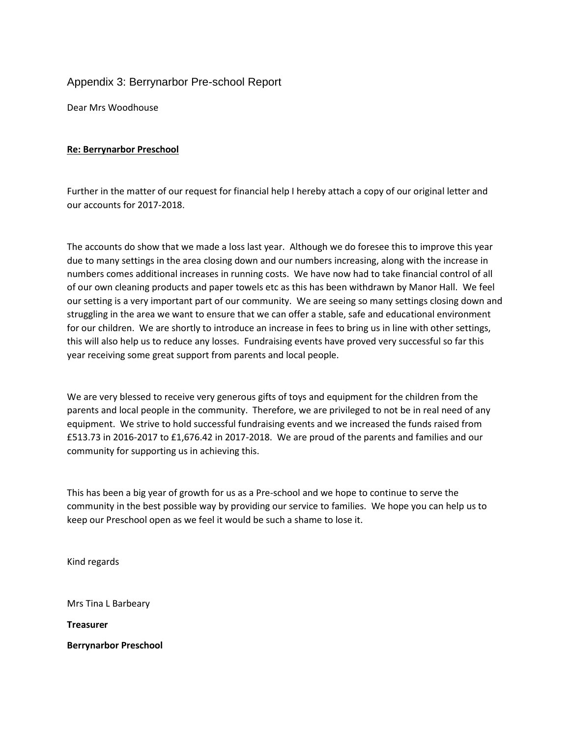# Appendix 3: Berrynarbor Pre-school Report

Dear Mrs Woodhouse

#### **Re: Berrynarbor Preschool**

Further in the matter of our request for financial help I hereby attach a copy of our original letter and our accounts for 2017-2018.

The accounts do show that we made a loss last year. Although we do foresee this to improve this year due to many settings in the area closing down and our numbers increasing, along with the increase in numbers comes additional increases in running costs. We have now had to take financial control of all of our own cleaning products and paper towels etc as this has been withdrawn by Manor Hall. We feel our setting is a very important part of our community. We are seeing so many settings closing down and struggling in the area we want to ensure that we can offer a stable, safe and educational environment for our children. We are shortly to introduce an increase in fees to bring us in line with other settings, this will also help us to reduce any losses. Fundraising events have proved very successful so far this year receiving some great support from parents and local people.

We are very blessed to receive very generous gifts of toys and equipment for the children from the parents and local people in the community. Therefore, we are privileged to not be in real need of any equipment. We strive to hold successful fundraising events and we increased the funds raised from £513.73 in 2016-2017 to £1,676.42 in 2017-2018. We are proud of the parents and families and our community for supporting us in achieving this.

This has been a big year of growth for us as a Pre-school and we hope to continue to serve the community in the best possible way by providing our service to families. We hope you can help us to keep our Preschool open as we feel it would be such a shame to lose it.

Kind regards

Mrs Tina L Barbeary

**Treasurer**

**Berrynarbor Preschool**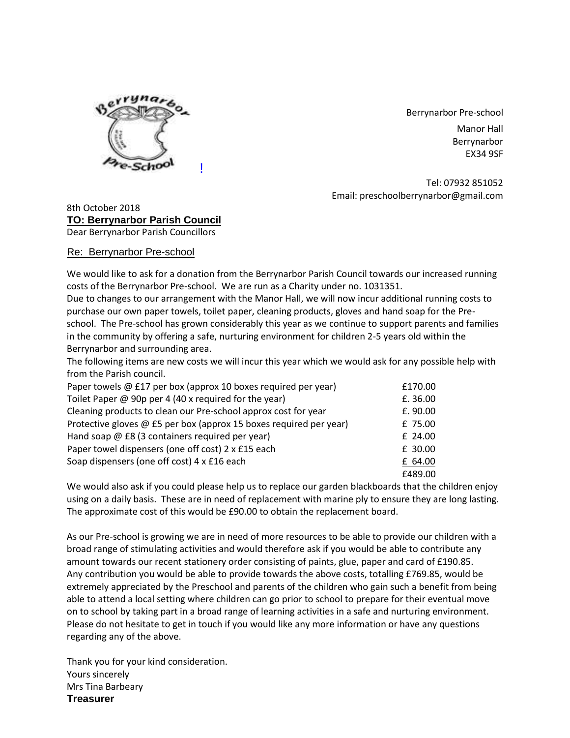

Berrynarbor Pre-school Manor Hall Berrynarbor

EX34 9SF

Tel: 07932 851052 Email: preschoolberrynarbor@gmail.com

8th October 2018 **TO: Berrynarbor Parish Council** Dear Berrynarbor Parish Councillors

Re: Berrynarbor Pre-school

We would like to ask for a donation from the Berrynarbor Parish Council towards our increased running costs of the Berrynarbor Pre-school. We are run as a Charity under no. 1031351.

Due to changes to our arrangement with the Manor Hall, we will now incur additional running costs to purchase our own paper towels, toilet paper, cleaning products, gloves and hand soap for the Preschool. The Pre-school has grown considerably this year as we continue to support parents and families in the community by offering a safe, nurturing environment for children 2-5 years old within the Berrynarbor and surrounding area.

The following items are new costs we will incur this year which we would ask for any possible help with from the Parish council.

| Paper towels @ £17 per box (approx 10 boxes required per year)     | £170.00  |
|--------------------------------------------------------------------|----------|
| Toilet Paper @ 90p per 4 (40 x required for the year)              | £.36.00  |
| Cleaning products to clean our Pre-school approx cost for year     | £. 90.00 |
| Protective gloves @ £5 per box (approx 15 boxes required per year) | £ 75.00  |
| Hand soap @ £8 (3 containers required per year)                    | £ 24.00  |
| Paper towel dispensers (one off cost) 2 x £15 each                 | £ 30.00  |
| Soap dispensers (one off cost) 4 x £16 each                        | £ 64.00  |
|                                                                    | £489.00  |

We would also ask if you could please help us to replace our garden blackboards that the children enjoy using on a daily basis. These are in need of replacement with marine ply to ensure they are long lasting. The approximate cost of this would be £90.00 to obtain the replacement board.

As our Pre-school is growing we are in need of more resources to be able to provide our children with a broad range of stimulating activities and would therefore ask if you would be able to contribute any amount towards our recent stationery order consisting of paints, glue, paper and card of £190.85. Any contribution you would be able to provide towards the above costs, totalling £769.85, would be extremely appreciated by the Preschool and parents of the children who gain such a benefit from being able to attend a local setting where children can go prior to school to prepare for their eventual move on to school by taking part in a broad range of learning activities in a safe and nurturing environment. Please do not hesitate to get in touch if you would like any more information or have any questions regarding any of the above.

Thank you for your kind consideration. Yours sincerely Mrs Tina Barbeary **Treasurer**